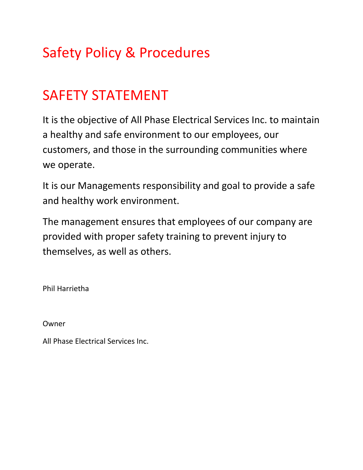# Safety Policy & Procedures

# SAFETY STATEMENT

It is the objective of All Phase Electrical Services Inc. to maintain a healthy and safe environment to our employees, our customers, and those in the surrounding communities where we operate.

It is our Managements responsibility and goal to provide a safe and healthy work environment.

The management ensures that employees of our company are provided with proper safety training to prevent injury to themselves, as well as others.

Phil Harrietha

Owner

All Phase Electrical Services Inc.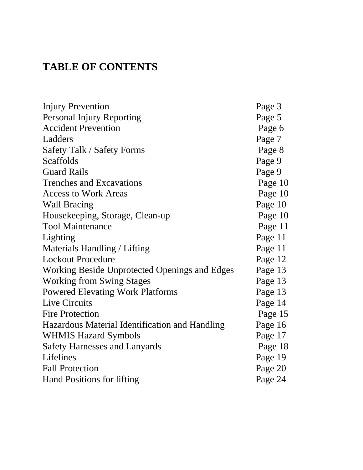## **TABLE OF CONTENTS**

| <b>Injury Prevention</b>                       | Page 3  |
|------------------------------------------------|---------|
| <b>Personal Injury Reporting</b>               | Page 5  |
| <b>Accident Prevention</b>                     | Page 6  |
| Ladders                                        | Page 7  |
| <b>Safety Talk / Safety Forms</b>              | Page 8  |
| Scaffolds                                      | Page 9  |
| <b>Guard Rails</b>                             | Page 9  |
| <b>Trenches and Excavations</b>                | Page 10 |
| <b>Access to Work Areas</b>                    | Page 10 |
| <b>Wall Bracing</b>                            | Page 10 |
| Housekeeping, Storage, Clean-up                | Page 10 |
| <b>Tool Maintenance</b>                        | Page 11 |
| Lighting                                       | Page 11 |
| Materials Handling / Lifting                   | Page 11 |
| <b>Lockout Procedure</b>                       | Page 12 |
| Working Beside Unprotected Openings and Edges  | Page 13 |
| <b>Working from Swing Stages</b>               | Page 13 |
| <b>Powered Elevating Work Platforms</b>        | Page 13 |
| Live Circuits                                  | Page 14 |
| <b>Fire Protection</b>                         | Page 15 |
| Hazardous Material Identification and Handling | Page 16 |
| <b>WHMIS Hazard Symbols</b>                    | Page 17 |
| <b>Safety Harnesses and Lanyards</b>           | Page 18 |
| Lifelines                                      | Page 19 |
| <b>Fall Protection</b>                         | Page 20 |
| Hand Positions for lifting                     | Page 24 |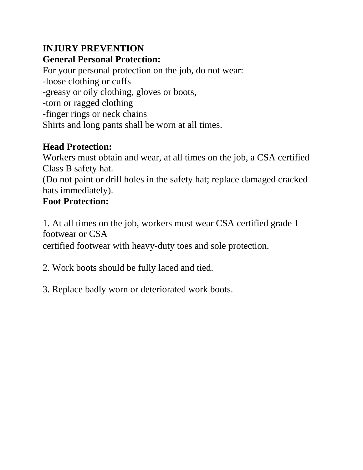### **INJURY PREVENTION General Personal Protection:**

For your personal protection on the job, do not wear: -loose clothing or cuffs -greasy or oily clothing, gloves or boots, -torn or ragged clothing -finger rings or neck chains Shirts and long pants shall be worn at all times.

### **Head Protection:**

Workers must obtain and wear, at all times on the job, a CSA certified Class B safety hat.

(Do not paint or drill holes in the safety hat; replace damaged cracked hats immediately).

## **Foot Protection:**

1. At all times on the job, workers must wear CSA certified grade 1 footwear or CSA

certified footwear with heavy-duty toes and sole protection.

2. Work boots should be fully laced and tied.

3. Replace badly worn or deteriorated work boots.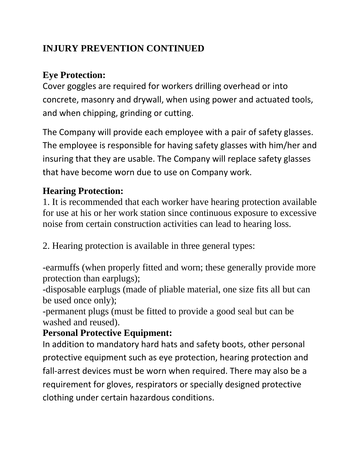### **INJURY PREVENTION CONTINUED**

## **Eye Protection:**

Cover goggles are required for workers drilling overhead or into concrete, masonry and drywall, when using power and actuated tools, and when chipping, grinding or cutting.

The Company will provide each employee with a pair of safety glasses. The employee is responsible for having safety glasses with him/her and insuring that they are usable. The Company will replace safety glasses that have become worn due to use on Company work.

## **Hearing Protection:**

1. It is recommended that each worker have hearing protection available for use at his or her work station since continuous exposure to excessive noise from certain construction activities can lead to hearing loss.

2. Hearing protection is available in three general types:

-earmuffs (when properly fitted and worn; these generally provide more protection than earplugs);

-disposable earplugs (made of pliable material, one size fits all but can be used once only);

-permanent plugs (must be fitted to provide a good seal but can be washed and reused).

### **Personal Protective Equipment:**

In addition to mandatory hard hats and safety boots, other personal protective equipment such as eye protection, hearing protection and fall-arrest devices must be worn when required. There may also be a requirement for gloves, respirators or specially designed protective clothing under certain hazardous conditions.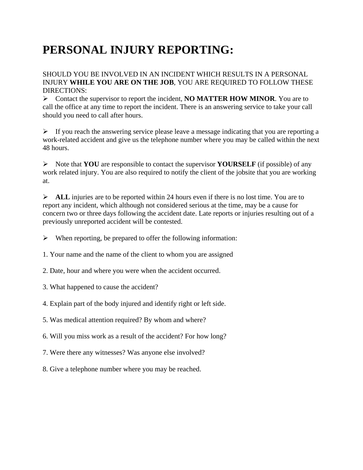# **PERSONAL INJURY REPORTING:**

SHOULD YOU BE INVOLVED IN AN INCIDENT WHICH RESULTS IN A PERSONAL INJURY **WHILE YOU ARE ON THE JOB**, YOU ARE REQUIRED TO FOLLOW THESE DIRECTIONS:

Contact the supervisor to report the incident, **NO MATTER HOW MINOR**. You are to call the office at any time to report the incident. There is an answering service to take your call should you need to call after hours.

 $\triangleright$  If you reach the answering service please leave a message indicating that you are reporting a work-related accident and give us the telephone number where you may be called within the next 48 hours.

Note that **YOU** are responsible to contact the supervisor **YOURSELF** (if possible) of any work related injury. You are also required to notify the client of the jobsite that you are working at.

 $\triangleright$  **ALL** injuries are to be reported within 24 hours even if there is no lost time. You are to report any incident, which although not considered serious at the time, may be a cause for concern two or three days following the accident date. Late reports or injuries resulting out of a previously unreported accident will be contested.

 $\triangleright$  When reporting, be prepared to offer the following information:

1. Your name and the name of the client to whom you are assigned

2. Date, hour and where you were when the accident occurred.

3. What happened to cause the accident?

4. Explain part of the body injured and identify right or left side.

5. Was medical attention required? By whom and where?

6. Will you miss work as a result of the accident? For how long?

7. Were there any witnesses? Was anyone else involved?

8. Give a telephone number where you may be reached.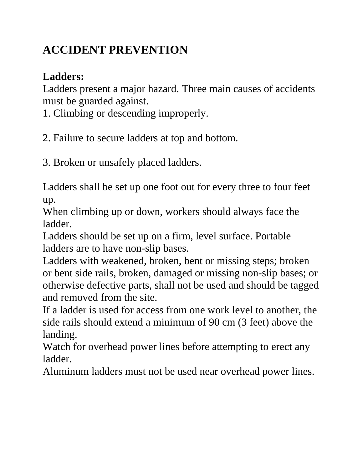# **ACCIDENT PREVENTION**

## **Ladders:**

Ladders present a major hazard. Three main causes of accidents must be guarded against.

1. Climbing or descending improperly.

2. Failure to secure ladders at top and bottom.

3. Broken or unsafely placed ladders.

Ladders shall be set up one foot out for every three to four feet up.

When climbing up or down, workers should always face the ladder.

Ladders should be set up on a firm, level surface. Portable ladders are to have non-slip bases.

Ladders with weakened, broken, bent or missing steps; broken or bent side rails, broken, damaged or missing non-slip bases; or otherwise defective parts, shall not be used and should be tagged and removed from the site.

If a ladder is used for access from one work level to another, the side rails should extend a minimum of 90 cm (3 feet) above the landing.

Watch for overhead power lines before attempting to erect any ladder.

Aluminum ladders must not be used near overhead power lines.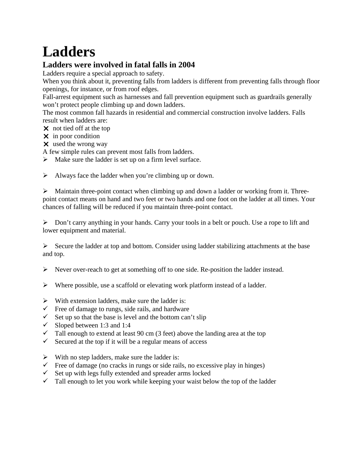# **Ladders**

#### **Ladders were involved in fatal falls in 2004**

Ladders require a special approach to safety.

When you think about it, preventing falls from ladders is different from preventing falls through floor openings, for instance, or from roof edges.

Fall-arrest equipment such as harnesses and fall prevention equipment such as guardrails generally won't protect people climbing up and down ladders.

The most common fall hazards in residential and commercial construction involve ladders. Falls result when ladders are:

- $\times$  not tied off at the top
- $\times$  in poor condition
- used the wrong way

A few simple rules can prevent most falls from ladders.

 $\triangleright$  Make sure the ladder is set up on a firm level surface.

 $\triangleright$  Always face the ladder when you're climbing up or down.

 $\triangleright$  Maintain three-point contact when climbing up and down a ladder or working from it. Threepoint contact means on hand and two feet or two hands and one foot on the ladder at all times. Your chances of falling will be reduced if you maintain three-point contact.

 $\triangleright$  Don't carry anything in your hands. Carry your tools in a belt or pouch. Use a rope to lift and lower equipment and material.

 $\triangleright$  Secure the ladder at top and bottom. Consider using ladder stabilizing attachments at the base and top.

 $\triangleright$  Never over-reach to get at something off to one side. Re-position the ladder instead.

- $\triangleright$  Where possible, use a scaffold or elevating work platform instead of a ladder.
- $\triangleright$  With extension ladders, make sure the ladder is:
- $\checkmark$  Free of damage to rungs, side rails, and hardware
- $\checkmark$  Set up so that the base is level and the bottom can't slip
- $\checkmark$  Sloped between 1:3 and 1:4
- $\checkmark$  Tall enough to extend at least 90 cm (3 feet) above the landing area at the top
- Secured at the top if it will be a regular means of access
- $\triangleright$  With no step ladders, make sure the ladder is:
- $\checkmark$  Free of damage (no cracks in rungs or side rails, no excessive play in hinges)
- $\checkmark$  Set up with legs fully extended and spreader arms locked
- $\checkmark$  Tall enough to let you work while keeping your waist below the top of the ladder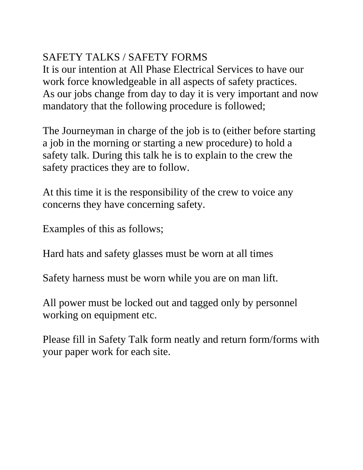## SAFETY TALKS / SAFETY FORMS

It is our intention at All Phase Electrical Services to have our work force knowledgeable in all aspects of safety practices. As our jobs change from day to day it is very important and now mandatory that the following procedure is followed;

The Journeyman in charge of the job is to (either before starting a job in the morning or starting a new procedure) to hold a safety talk. During this talk he is to explain to the crew the safety practices they are to follow.

At this time it is the responsibility of the crew to voice any concerns they have concerning safety.

Examples of this as follows;

Hard hats and safety glasses must be worn at all times

Safety harness must be worn while you are on man lift.

All power must be locked out and tagged only by personnel working on equipment etc.

Please fill in Safety Talk form neatly and return form/forms with your paper work for each site.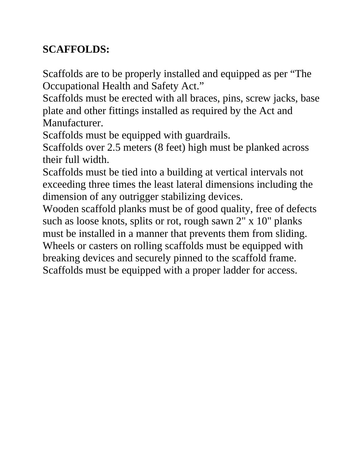## **SCAFFOLDS:**

Scaffolds are to be properly installed and equipped as per "The Occupational Health and Safety Act."

Scaffolds must be erected with all braces, pins, screw jacks, base plate and other fittings installed as required by the Act and Manufacturer.

Scaffolds must be equipped with guardrails.

Scaffolds over 2.5 meters (8 feet) high must be planked across their full width.

Scaffolds must be tied into a building at vertical intervals not exceeding three times the least lateral dimensions including the dimension of any outrigger stabilizing devices.

Wooden scaffold planks must be of good quality, free of defects such as loose knots, splits or rot, rough sawn 2" x 10" planks must be installed in a manner that prevents them from sliding. Wheels or casters on rolling scaffolds must be equipped with breaking devices and securely pinned to the scaffold frame. Scaffolds must be equipped with a proper ladder for access.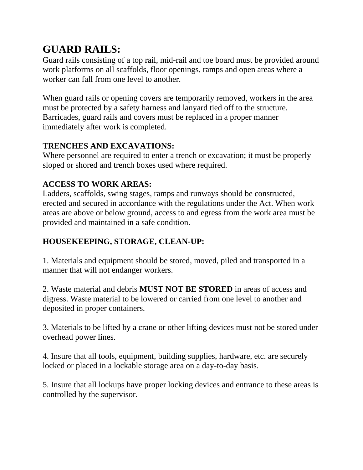## **GUARD RAILS:**

Guard rails consisting of a top rail, mid-rail and toe board must be provided around work platforms on all scaffolds, floor openings, ramps and open areas where a worker can fall from one level to another.

When guard rails or opening covers are temporarily removed, workers in the area must be protected by a safety harness and lanyard tied off to the structure. Barricades, guard rails and covers must be replaced in a proper manner immediately after work is completed.

#### **TRENCHES AND EXCAVATIONS:**

Where personnel are required to enter a trench or excavation; it must be properly sloped or shored and trench boxes used where required.

#### **ACCESS TO WORK AREAS:**

Ladders, scaffolds, swing stages, ramps and runways should be constructed, erected and secured in accordance with the regulations under the Act. When work areas are above or below ground, access to and egress from the work area must be provided and maintained in a safe condition.

#### **HOUSEKEEPING, STORAGE, CLEAN-UP:**

1. Materials and equipment should be stored, moved, piled and transported in a manner that will not endanger workers.

2. Waste material and debris **MUST NOT BE STORED** in areas of access and digress. Waste material to be lowered or carried from one level to another and deposited in proper containers.

3. Materials to be lifted by a crane or other lifting devices must not be stored under overhead power lines.

4. Insure that all tools, equipment, building supplies, hardware, etc. are securely locked or placed in a lockable storage area on a day-to-day basis.

5. Insure that all lockups have proper locking devices and entrance to these areas is controlled by the supervisor.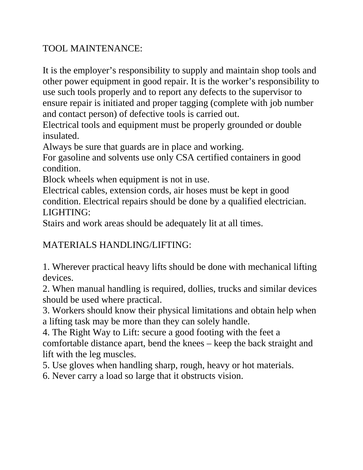#### TOOL MAINTENANCE:

It is the employer's responsibility to supply and maintain shop tools and other power equipment in good repair. It is the worker's responsibility to use such tools properly and to report any defects to the supervisor to ensure repair is initiated and proper tagging (complete with job number and contact person) of defective tools is carried out.

Electrical tools and equipment must be properly grounded or double insulated.

Always be sure that guards are in place and working.

For gasoline and solvents use only CSA certified containers in good condition.

Block wheels when equipment is not in use.

Electrical cables, extension cords, air hoses must be kept in good condition. Electrical repairs should be done by a qualified electrician. LIGHTING:

Stairs and work areas should be adequately lit at all times.

#### MATERIALS HANDLING/LIFTING:

1. Wherever practical heavy lifts should be done with mechanical lifting devices.

2. When manual handling is required, dollies, trucks and similar devices should be used where practical.

3. Workers should know their physical limitations and obtain help when a lifting task may be more than they can solely handle.

4. The Right Way to Lift: secure a good footing with the feet a comfortable distance apart, bend the knees – keep the back straight and lift with the leg muscles.

5. Use gloves when handling sharp, rough, heavy or hot materials.

6. Never carry a load so large that it obstructs vision.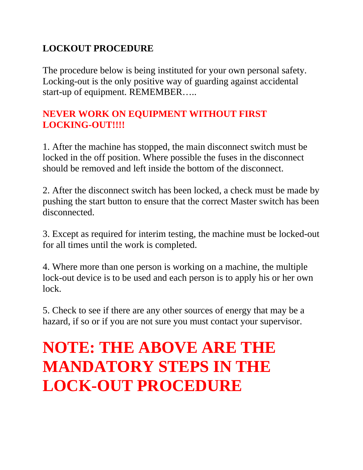### **LOCKOUT PROCEDURE**

The procedure below is being instituted for your own personal safety. Locking-out is the only positive way of guarding against accidental start-up of equipment. REMEMBER…..

### **NEVER WORK ON EQUIPMENT WITHOUT FIRST**  LOCKING-OUT!!!!

1. After the machine has stopped, the main disconnect switch must be locked in the off position. Where possible the fuses in the disconnect should be removed and left inside the bottom of the disconnect.

2. After the disconnect switch has been locked, a check must be made by pushing the start button to ensure that the correct Master switch has been disconnected.

3. Except as required for interim testing, the machine must be locked-out for all times until the work is completed.

4. Where more than one person is working on a machine, the multiple lock-out device is to be used and each person is to apply his or her own lock.

5. Check to see if there are any other sources of energy that may be a hazard, if so or if you are not sure you must contact your supervisor.

# **NOTE: THE ABOVE ARE THE MANDATORY STEPS IN THE LOCK-OUT PROCEDURE**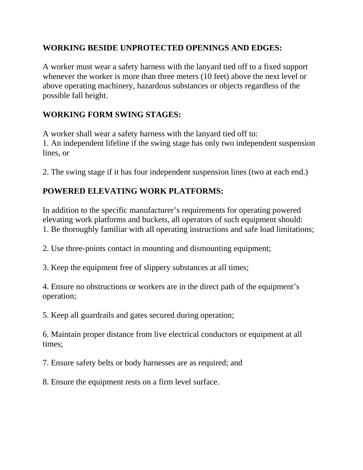#### **WORKING BESIDE UNPROTECTED OPENINGS AND EDGES:**

A worker must wear a safety harness with the lanyard tied off to a fixed support whenever the worker is more than three meters (10 feet) above the next level or above operating machinery, hazardous substances or objects regardless of the possible fall height.

#### **WORKING FORM SWING STAGES:**

A worker shall wear a safety harness with the lanyard tied off to: 1. An independent lifeline if the swing stage has only two independent suspension lines, or

2. The swing stage if it has four independent suspension lines (two at each end.)

#### **POWERED ELEVATING WORK PLATFORMS:**

In addition to the specific manufacturer's requirements for operating powered elevating work platforms and buckets, all operators of such equipment should: 1. Be thoroughly familiar with all operating instructions and safe load limitations;

2. Use three-points contact in mounting and dismounting equipment;

3. Keep the equipment free of slippery substances at all times;

4. Ensure no obstructions or workers are in the direct path of the equipment's operation;

5. Keep all guardrails and gates secured during operation;

6. Maintain proper distance from live electrical conductors or equipment at all times;

7. Ensure safety belts or body harnesses are as required; and

8. Ensure the equipment rests on a firm level surface.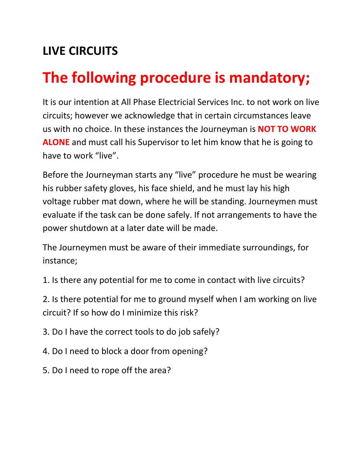# **LIVE CIRCUITS**

# **The following procedure is mandatory;**

It is our intention at All Phase Electricial Services Inc. to not work on live circuits; however we acknowledge that in certain circumstances leave us with no choice. In these instances the Journeyman is **NOT TO WORK ALONE** and must call his Supervisor to let him know that he is going to have to work "live".

Before the Journeyman starts any "live" procedure he must be wearing his rubber safety gloves, his face shield, and he must lay his high voltage rubber mat down, where he will be standing. Journeymen must evaluate if the task can be done safely. If not arrangements to have the power shutdown at a later date will be made.

The Journeymen must be aware of their immediate surroundings, for instance;

1. Is there any potential for me to come in contact with live circuits?

2. Is there potential for me to ground myself when I am working on live circuit? If so how do I minimize this risk?

3. Do I have the correct tools to do job safely?

- 4. Do I need to block a door from opening?
- 5. Do I need to rope off the area?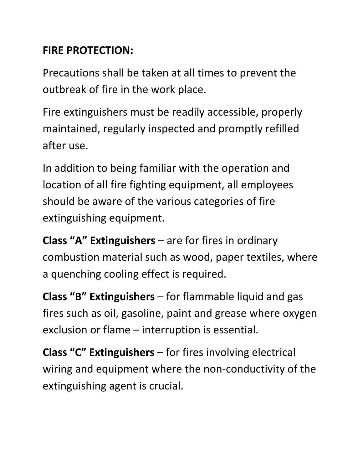## **FIRE PROTECTION:**

Precautions shall be taken at all times to prevent the outbreak of fire in the work place.

Fire extinguishers must be readily accessible, properly maintained, regularly inspected and promptly refilled after use.

In addition to being familiar with the operation and location of all fire fighting equipment, all employees should be aware of the various categories of fire extinguishing equipment.

**Class "A" Extinguishers** – are for fires in ordinary combustion material such as wood, paper textiles, where a quenching cooling effect is required.

**Class "B" Extinguishers** – for flammable liquid and gas fires such as oil, gasoline, paint and grease where oxygen exclusion or flame – interruption is essential.

**Class "C" Extinguishers** – for fires involving electrical wiring and equipment where the non-conductivity of the extinguishing agent is crucial.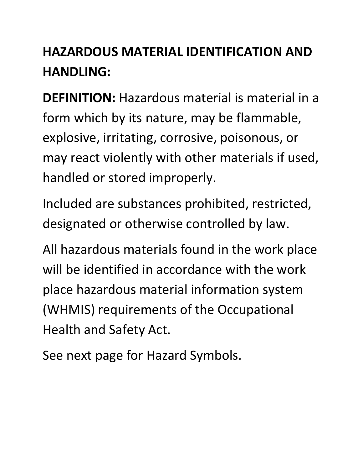# **HAZARDOUS MATERIAL IDENTIFICATION AND HANDLING:**

**DEFINITION:** Hazardous material is material in a form which by its nature, may be flammable, explosive, irritating, corrosive, poisonous, or may react violently with other materials if used, handled or stored improperly.

Included are substances prohibited, restricted, designated or otherwise controlled by law.

All hazardous materials found in the work place will be identified in accordance with the work place hazardous material information system (WHMIS) requirements of the Occupational Health and Safety Act.

See next page for Hazard Symbols.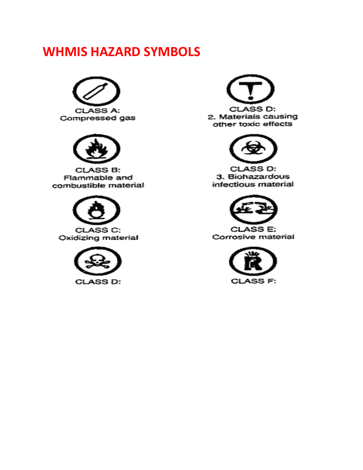# **WHMIS HAZARD SYMBOLS**





**CLASS B:** Flammable and combustible material







2. Materials causing other toxic effects



CLASS D: 3. Biohazardous infectious material



**CLASS E:** Corrosive material

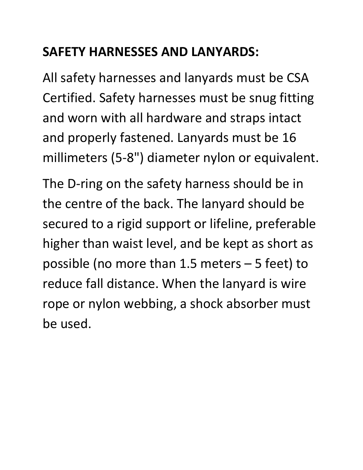# **SAFETY HARNESSES AND LANYARDS:**

All safety harnesses and lanyards must be CSA Certified. Safety harnesses must be snug fitting and worn with all hardware and straps intact and properly fastened. Lanyards must be 16 millimeters (5-8") diameter nylon or equivalent.

The D-ring on the safety harness should be in the centre of the back. The lanyard should be secured to a rigid support or lifeline, preferable higher than waist level, and be kept as short as possible (no more than 1.5 meters – 5 feet) to reduce fall distance. When the lanyard is wire rope or nylon webbing, a shock absorber must be used.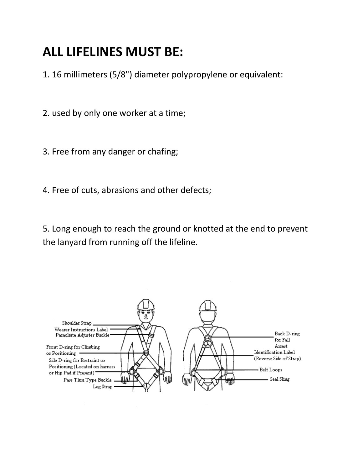# **ALL LIFELINES MUST BE:**

1. 16 millimeters (5/8") diameter polypropylene or equivalent:

2. used by only one worker at a time;

3. Free from any danger or chafing;

4. Free of cuts, abrasions and other defects;

5. Long enough to reach the ground or knotted at the end to prevent the lanyard from running off the lifeline.

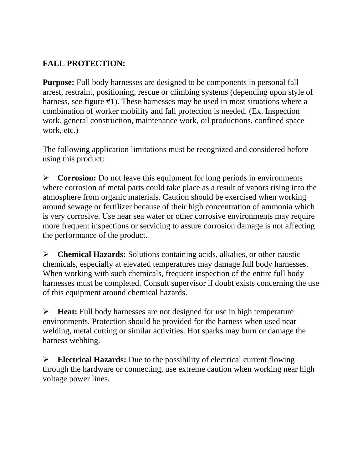#### **FALL PROTECTION:**

**Purpose:** Full body harnesses are designed to be components in personal fall arrest, restraint, positioning, rescue or climbing systems (depending upon style of harness, see figure #1). These harnesses may be used in most situations where a combination of worker mobility and fall protection is needed. (Ex. Inspection work, general construction, maintenance work, oil productions, confined space work, etc.)

The following application limitations must be recognized and considered before using this product:

**Corrosion:** Do not leave this equipment for long periods in environments where corrosion of metal parts could take place as a result of vapors rising into the atmosphere from organic materials. Caution should be exercised when working around sewage or fertilizer because of their high concentration of ammonia which is very corrosive. Use near sea water or other corrosive environments may require more frequent inspections or servicing to assure corrosion damage is not affecting the performance of the product.

**Chemical Hazards:** Solutions containing acids, alkalies, or other caustic chemicals, especially at elevated temperatures may damage full body harnesses. When working with such chemicals, frequent inspection of the entire full body harnesses must be completed. Consult supervisor if doubt exists concerning the use of this equipment around chemical hazards.

**Heat:** Full body harnesses are not designed for use in high temperature environments. Protection should be provided for the harness when used near welding, metal cutting or similar activities. Hot sparks may burn or damage the harness webbing.

**Electrical Hazards:** Due to the possibility of electrical current flowing through the hardware or connecting, use extreme caution when working near high voltage power lines.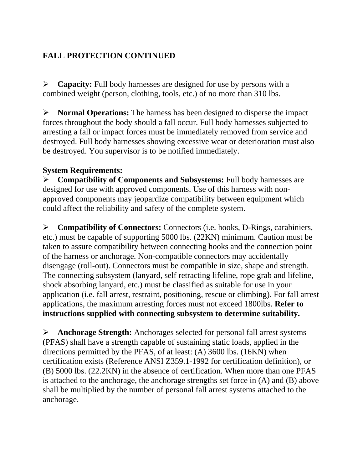#### **FALL PROTECTION CONTINUED**

**Capacity:** Full body harnesses are designed for use by persons with a combined weight (person, clothing, tools, etc.) of no more than 310 lbs.

**Normal Operations:** The harness has been designed to disperse the impact forces throughout the body should a fall occur. Full body harnesses subjected to arresting a fall or impact forces must be immediately removed from service and destroyed. Full body harnesses showing excessive wear or deterioration must also be destroyed. You supervisor is to be notified immediately.

#### **System Requirements:**

**Compatibility of Components and Subsystems:** Full body harnesses are designed for use with approved components. Use of this harness with nonapproved components may jeopardize compatibility between equipment which could affect the reliability and safety of the complete system.

**Compatibility of Connectors:** Connectors (i.e. hooks, D-Rings, carabiniers, etc.) must be capable of supporting 5000 lbs. (22KN) minimum. Caution must be taken to assure compatibility between connecting hooks and the connection point of the harness or anchorage. Non-compatible connectors may accidentally disengage (roll-out). Connectors must be compatible in size, shape and strength. The connecting subsystem (lanyard, self retracting lifeline, rope grab and lifeline, shock absorbing lanyard, etc.) must be classified as suitable for use in your application (i.e. fall arrest, restraint, positioning, rescue or climbing). For fall arrest applications, the maximum arresting forces must not exceed 1800lbs. **Refer to instructions supplied with connecting subsystem to determine suitability.** 

**Anchorage Strength:** Anchorages selected for personal fall arrest systems (PFAS) shall have a strength capable of sustaining static loads, applied in the directions permitted by the PFAS, of at least: (A) 3600 lbs. (16KN) when certification exists (Reference ANSI Z359.1-1992 for certification definition), or (B) 5000 lbs. (22.2KN) in the absence of certification. When more than one PFAS is attached to the anchorage, the anchorage strengths set force in (A) and (B) above shall be multiplied by the number of personal fall arrest systems attached to the anchorage.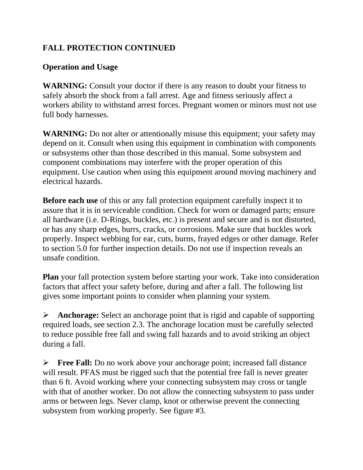#### **FALL PROTECTION CONTINUED**

#### **Operation and Usage**

**WARNING:** Consult your doctor if there is any reason to doubt your fitness to safely absorb the shock from a fall arrest. Age and fitness seriously affect a workers ability to withstand arrest forces. Pregnant women or minors must not use full body harnesses.

**WARNING:** Do not alter or attentionally misuse this equipment; your safety may depend on it. Consult when using this equipment in combination with components or subsystems other than those described in this manual. Some subsystem and component combinations may interfere with the proper operation of this equipment. Use caution when using this equipment around moving machinery and electrical hazards.

**Before each use** of this or any fall protection equipment carefully inspect it to assure that it is in serviceable condition. Check for worn or damaged parts; ensure all hardware (i.e. D-Rings, buckles, etc.) is present and secure and is not distorted, or has any sharp edges, burrs, cracks, or corrosions. Make sure that buckles work properly. Inspect webbing for ear, cuts, burns, frayed edges or other damage. Refer to section 5.0 for further inspection details. Do not use if inspection reveals an unsafe condition.

**Plan** your fall protection system before starting your work. Take into consideration factors that affect your safety before, during and after a fall. The following list gives some important points to consider when planning your system.

**Anchorage:** Select an anchorage point that is rigid and capable of supporting required loads, see section 2.3. The anchorage location must be carefully selected to reduce possible free fall and swing fall hazards and to avoid striking an object during a fall.

**Free Fall:** Do no work above your anchorage point; increased fall distance will result. PFAS must be rigged such that the potential free fall is never greater than 6 ft. Avoid working where your connecting subsystem may cross or tangle with that of another worker. Do not allow the connecting subsystem to pass under arms or between legs. Never clamp, knot or otherwise prevent the connecting subsystem from working properly. See figure #3.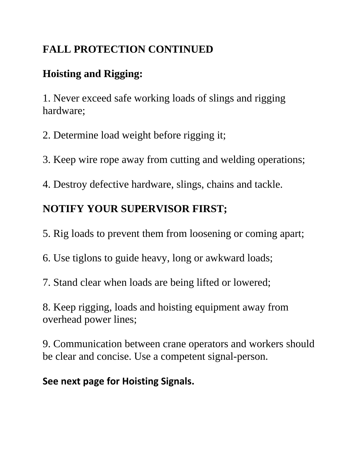## **FALL PROTECTION CONTINUED**

## **Hoisting and Rigging:**

1. Never exceed safe working loads of slings and rigging hardware;

2. Determine load weight before rigging it;

3. Keep wire rope away from cutting and welding operations;

4. Destroy defective hardware, slings, chains and tackle.

# **NOTIFY YOUR SUPERVISOR FIRST;**

5. Rig loads to prevent them from loosening or coming apart;

6. Use tiglons to guide heavy, long or awkward loads;

7. Stand clear when loads are being lifted or lowered;

8. Keep rigging, loads and hoisting equipment away from overhead power lines;

9. Communication between crane operators and workers should be clear and concise. Use a competent signal-person.

**See next page for Hoisting Signals.**